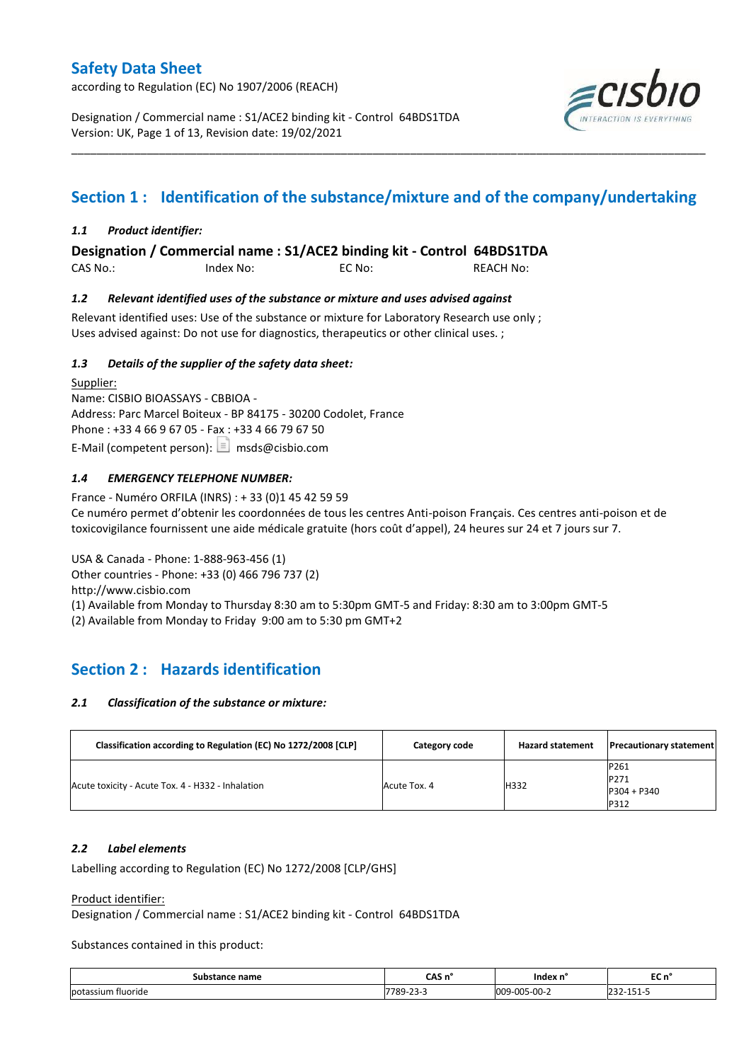according to Regulation (EC) No 1907/2006 (REACH)

Designation / Commercial name : S1/ACE2 binding kit - Control 64BDS1TDA Version: UK, Page 1 of 13, Revision date: 19/02/2021



# **Section 1 : Identification of the substance/mixture and of the company/undertaking**

\_\_\_\_\_\_\_\_\_\_\_\_\_\_\_\_\_\_\_\_\_\_\_\_\_\_\_\_\_\_\_\_\_\_\_\_\_\_\_\_\_\_\_\_\_\_\_\_\_\_\_\_\_\_\_\_\_\_\_\_\_\_\_\_\_\_\_\_\_\_\_\_\_\_\_\_\_\_\_\_\_\_\_\_\_\_\_\_\_\_\_\_\_\_\_\_\_\_\_\_\_

### *1.1 Product identifier:*

**Designation / Commercial name : S1/ACE2 binding kit - Control 64BDS1TDA** 

CAS No.: Index No: EC No: REACH No:

#### *1.2 Relevant identified uses of the substance or mixture and uses advised against*

Relevant identified uses: Use of the substance or mixture for Laboratory Research use only ; Uses advised against: Do not use for diagnostics, therapeutics or other clinical uses. ;

#### *1.3 Details of the supplier of the safety data sheet:*

Supplier: Name: CISBIO BIOASSAYS - CBBIOA - Address: Parc Marcel Boiteux - BP 84175 - 30200 Codolet, France Phone : +33 4 66 9 67 05 - Fax : +33 4 66 79 67 50 E-Mail (competent person):  $\boxed{\equiv}$  msds@cisbio.com

### *1.4 EMERGENCY TELEPHONE NUMBER:*

France - Numéro ORFILA (INRS) : + 33 (0)1 45 42 59 59 Ce numéro permet d'obtenir les coordonnées de tous les centres Anti-poison Français. Ces centres anti-poison et de toxicovigilance fournissent une aide médicale gratuite (hors coût d'appel), 24 heures sur 24 et 7 jours sur 7.

USA & Canada - Phone: 1-888-963-456 (1) Other countries - Phone: +33 (0) 466 796 737 (2) http://www.cisbio.com (1) Available from Monday to Thursday 8:30 am to 5:30pm GMT-5 and Friday: 8:30 am to 3:00pm GMT-5

(2) Available from Monday to Friday 9:00 am to 5:30 pm GMT+2

## **Section 2 : Hazards identification**

#### *2.1 Classification of the substance or mixture:*

| Classification according to Regulation (EC) No 1272/2008 [CLP] | Category code | <b>Hazard statement</b> | <b>Precautionary statement</b>        |
|----------------------------------------------------------------|---------------|-------------------------|---------------------------------------|
| Acute toxicity - Acute Tox. 4 - H332 - Inhalation              | Acute Tox. 4  | H332                    | P261<br>P271<br>$P304 + P340$<br>P312 |

#### *2.2 Label elements*

Labelling according to Regulation (EC) No 1272/2008 [CLP/GHS]

Product identifier:

Designation / Commercial name : S1/ACE2 binding kit - Control 64BDS1TDA

Substances contained in this product:

| .sub•<br>ee name<br>∵nstanc⊾ | $\sim$ $\sim$<br>слэ п | -Index r<br>$\sim$ $\sim$ $\sim$ | $-$<br>EC N<br>$\sim$ $\sim$ |
|------------------------------|------------------------|----------------------------------|------------------------------|
| potassium fluoride<br>.      | 7700<br>---<br>__      | $\sim$<br>05-00-2<br>'വെ<br>$ -$ | ∽<br>$\prime$ -<br>.         |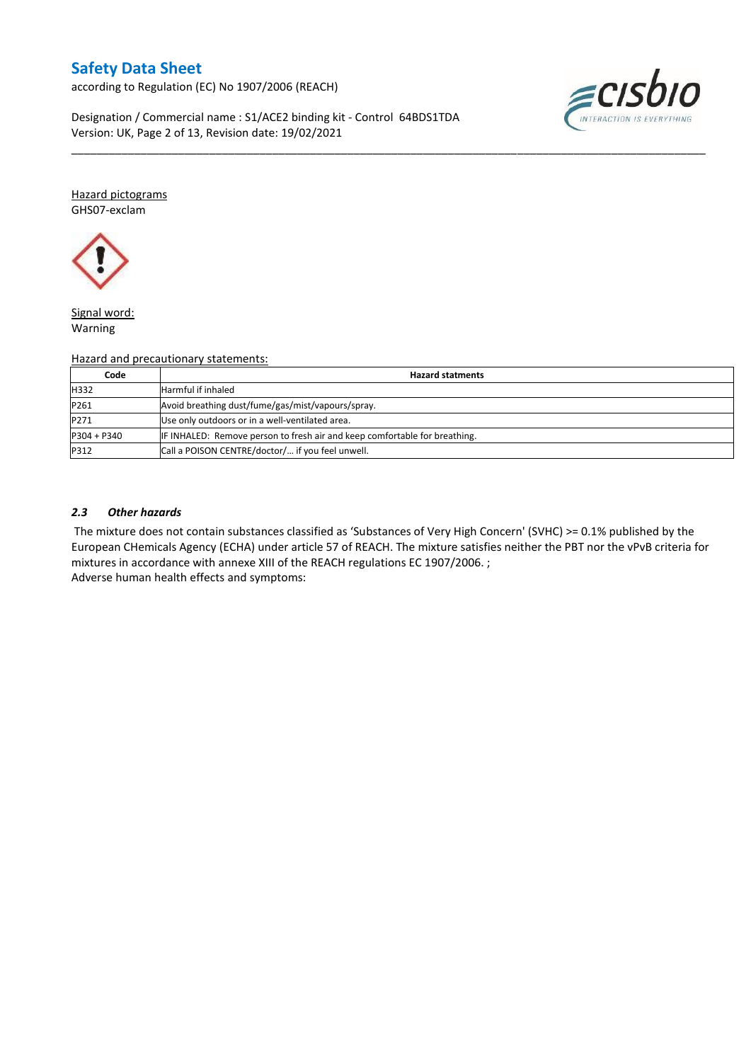according to Regulation (EC) No 1907/2006 (REACH)

≡CISL

Designation / Commercial name : S1/ACE2 binding kit - Control 64BDS1TDA Version: UK, Page 2 of 13, Revision date: 19/02/2021

Hazard pictograms GHS07-exclam



Signal word: Warning

#### Hazard and precautionary statements:

| Code          | <b>Hazard statments</b>                                                    |
|---------------|----------------------------------------------------------------------------|
| H332          | <b>Harmful if inhaled</b>                                                  |
| P261          | Avoid breathing dust/fume/gas/mist/vapours/spray.                          |
| P271          | Use only outdoors or in a well-ventilated area.                            |
| $P304 + P340$ | IF INHALED: Remove person to fresh air and keep comfortable for breathing. |
| P312          | Call a POISON CENTRE/doctor/ if you feel unwell.                           |

\_\_\_\_\_\_\_\_\_\_\_\_\_\_\_\_\_\_\_\_\_\_\_\_\_\_\_\_\_\_\_\_\_\_\_\_\_\_\_\_\_\_\_\_\_\_\_\_\_\_\_\_\_\_\_\_\_\_\_\_\_\_\_\_\_\_\_\_\_\_\_\_\_\_\_\_\_\_\_\_\_\_\_\_\_\_\_\_\_\_\_\_\_\_\_\_\_\_\_\_\_

#### *2.3 Other hazards*

The mixture does not contain substances classified as 'Substances of Very High Concern' (SVHC) >= 0.1% published by the European CHemicals Agency (ECHA) under article 57 of REACH. The mixture satisfies neither the PBT nor the vPvB criteria for mixtures in accordance with annexe XIII of the REACH regulations EC 1907/2006. ; Adverse human health effects and symptoms: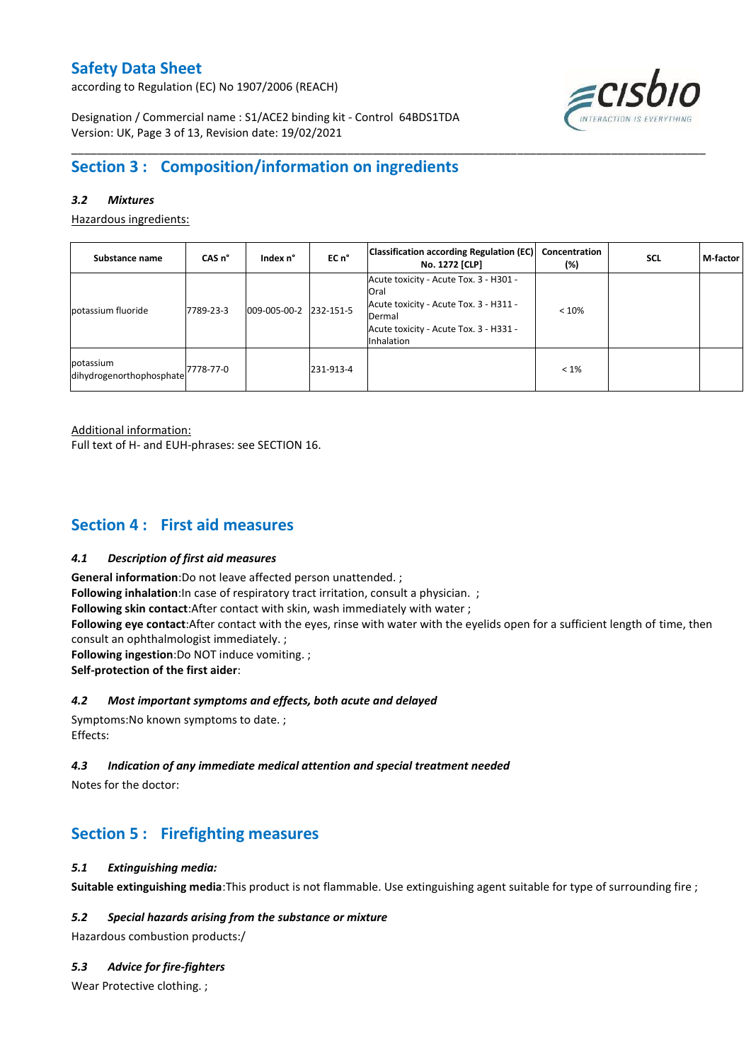according to Regulation (EC) No 1907/2006 (REACH)



Designation / Commercial name : S1/ACE2 binding kit - Control 64BDS1TDA Version: UK, Page 3 of 13, Revision date: 19/02/2021

## **Section 3 : Composition/information on ingredients**

### *3.2 Mixtures*

Hazardous ingredients:

| Substance name                                             | CAS <sub>n</sub> ° | Index n°     | EC <sub>n</sub> ° | <b>Classification according Regulation (EC)</b><br>No. 1272 [CLP]                                                                                                 | Concentration<br>(%) | <b>SCL</b> | M-factor |
|------------------------------------------------------------|--------------------|--------------|-------------------|-------------------------------------------------------------------------------------------------------------------------------------------------------------------|----------------------|------------|----------|
| potassium fluoride                                         | 7789-23-3          | 009-005-00-2 | 232-151-5         | Acute toxicity - Acute Tox. 3 - H301 -<br>Oral<br>Acute toxicity - Acute Tox. 3 - H311 -<br>Dermal<br>Acute toxicity - Acute Tox. 3 - H331 -<br><b>Inhalation</b> | < 10%                |            |          |
| potassium<br>dihydrogenorthophosphate <sup>7778-77-0</sup> |                    |              | 231-913-4         |                                                                                                                                                                   | $< 1\%$              |            |          |

\_\_\_\_\_\_\_\_\_\_\_\_\_\_\_\_\_\_\_\_\_\_\_\_\_\_\_\_\_\_\_\_\_\_\_\_\_\_\_\_\_\_\_\_\_\_\_\_\_\_\_\_\_\_\_\_\_\_\_\_\_\_\_\_\_\_\_\_\_\_\_\_\_\_\_\_\_\_\_\_\_\_\_\_\_\_\_\_\_\_\_\_\_\_\_\_\_\_\_\_\_

Additional information:

Full text of H- and EUH-phrases: see SECTION 16.

### **Section 4 : First aid measures**

#### *4.1 Description of first aid measures*

**General information**:Do not leave affected person unattended. ;

**Following inhalation**:In case of respiratory tract irritation, consult a physician. ;

**Following skin contact**:After contact with skin, wash immediately with water ;

**Following eye contact**:After contact with the eyes, rinse with water with the eyelids open for a sufficient length of time, then consult an ophthalmologist immediately. ;

**Following ingestion**:Do NOT induce vomiting. ;

**Self-protection of the first aider**:

#### *4.2 Most important symptoms and effects, both acute and delayed*

Symptoms:No known symptoms to date. ; Effects:

### *4.3 Indication of any immediate medical attention and special treatment needed*

Notes for the doctor:

## **Section 5 : Firefighting measures**

#### *5.1 Extinguishing media:*

**Suitable extinguishing media**:This product is not flammable. Use extinguishing agent suitable for type of surrounding fire ;

### *5.2 Special hazards arising from the substance or mixture*

Hazardous combustion products:/

#### *5.3 Advice for fire-fighters*

Wear Protective clothing. ;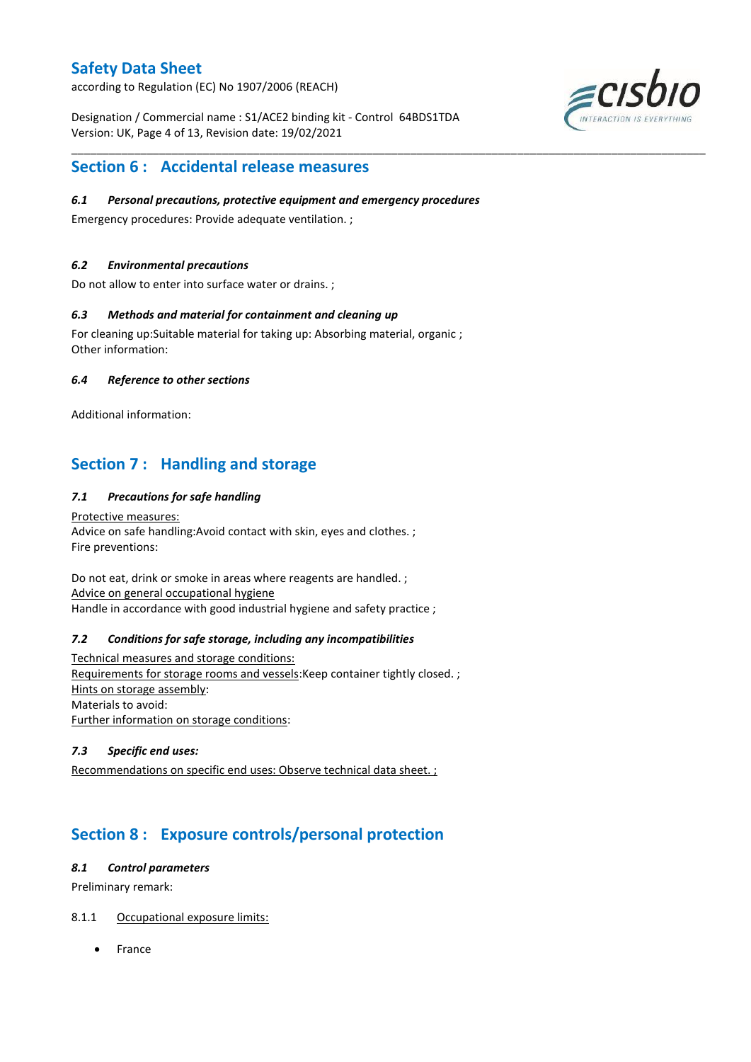according to Regulation (EC) No 1907/2006 (REACH)

Designation / Commercial name : S1/ACE2 binding kit - Control 64BDS1TDA Version: UK, Page 4 of 13, Revision date: 19/02/2021



### **Section 6 : Accidental release measures**

#### *6.1 Personal precautions, protective equipment and emergency procedures*

\_\_\_\_\_\_\_\_\_\_\_\_\_\_\_\_\_\_\_\_\_\_\_\_\_\_\_\_\_\_\_\_\_\_\_\_\_\_\_\_\_\_\_\_\_\_\_\_\_\_\_\_\_\_\_\_\_\_\_\_\_\_\_\_\_\_\_\_\_\_\_\_\_\_\_\_\_\_\_\_\_\_\_\_\_\_\_\_\_\_\_\_\_\_\_\_\_\_\_\_\_

Emergency procedures: Provide adequate ventilation. ;

#### *6.2 Environmental precautions*

Do not allow to enter into surface water or drains. ;

#### *6.3 Methods and material for containment and cleaning up*

For cleaning up:Suitable material for taking up: Absorbing material, organic ; Other information:

#### *6.4 Reference to other sections*

Additional information:

## **Section 7 : Handling and storage**

#### *7.1 Precautions for safe handling*

Protective measures: Advice on safe handling:Avoid contact with skin, eyes and clothes. ; Fire preventions:

Do not eat, drink or smoke in areas where reagents are handled. ; Advice on general occupational hygiene Handle in accordance with good industrial hygiene and safety practice ;

#### *7.2 Conditions for safe storage, including any incompatibilities*

Technical measures and storage conditions: Requirements for storage rooms and vessels:Keep container tightly closed. ; Hints on storage assembly: Materials to avoid: Further information on storage conditions:

### *7.3 Specific end uses:*

Recommendations on specific end uses: Observe technical data sheet. ;

# **Section 8 : Exposure controls/personal protection**

#### *8.1 Control parameters*

Preliminary remark:

#### 8.1.1 Occupational exposure limits:

France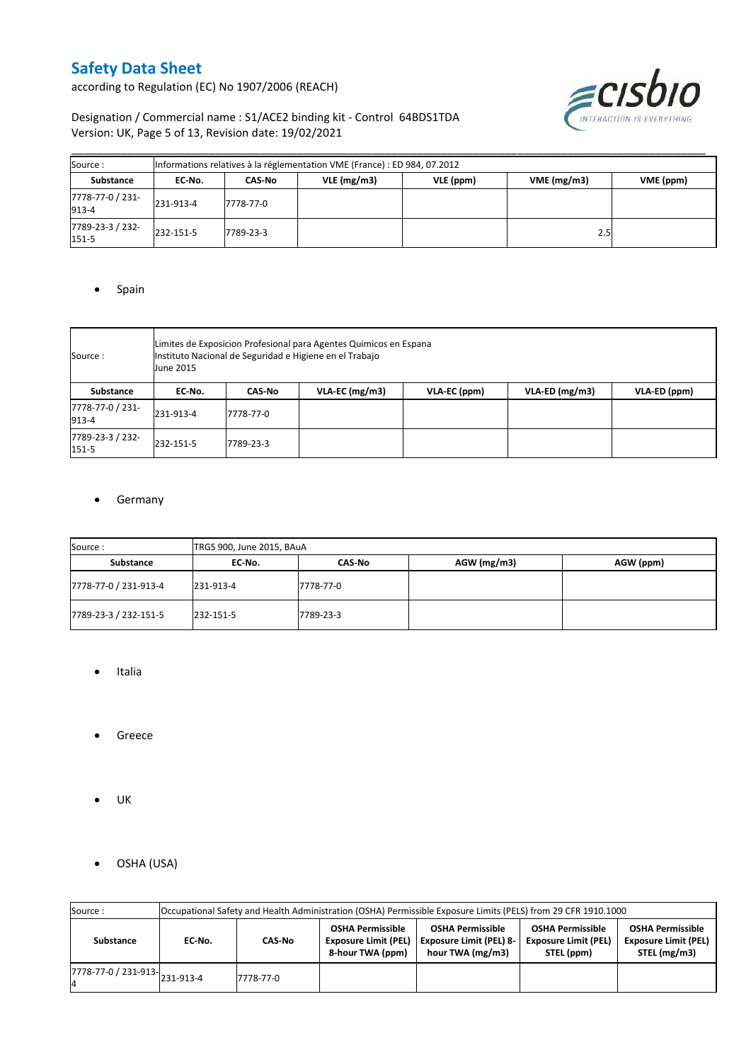according to Regulation (EC) No 1907/2006 (REACH)



### Designation / Commercial name : S1/ACE2 binding kit - Control 64BDS1TDA Version: UK, Page 5 of 13, Revision date: 19/02/2021

| Source:                   | Informations relatives à la réglementation VME (France) : ED 984, 07.2012 |           |            |           |            |           |  |  |
|---------------------------|---------------------------------------------------------------------------|-----------|------------|-----------|------------|-----------|--|--|
| <b>Substance</b>          | EC No.                                                                    | CAS-No    | VLE(mg/m3) | VLE (ppm) | VME(mg/m3) | VME (ppm) |  |  |
| 7778-77-0 / 231-<br>913-4 | 231-913-4                                                                 | 7778-77-0 |            |           |            |           |  |  |
| 7789-23-3 / 232-<br>151-5 | 232-151-5                                                                 | 7789-23-3 |            |           | 2.5        |           |  |  |

#### • Spain

| Source:                   | June 2015 | Limites de Exposicion Profesional para Agentes Quimicos en Espana<br>Instituto Nacional de Seguridad e Higiene en el Trabajo |                  |              |                  |              |  |  |  |
|---------------------------|-----------|------------------------------------------------------------------------------------------------------------------------------|------------------|--------------|------------------|--------------|--|--|--|
| Substance                 | EC-No.    | <b>CAS-No</b>                                                                                                                | $VLA-EC$ (mg/m3) | VLA-EC (ppm) | $VLA-ED$ (mg/m3) | VLA-ED (ppm) |  |  |  |
| 7778-77-0 / 231-<br>913-4 | 231-913-4 | 7778-77-0                                                                                                                    |                  |              |                  |              |  |  |  |
| 7789-23-3 / 232-<br>151-5 | 232-151-5 | 7789-23-3                                                                                                                    |                  |              |                  |              |  |  |  |

### **•** Germany

| Source:               | TRGS 900, June 2015, BAuA |           |             |           |  |  |  |
|-----------------------|---------------------------|-----------|-------------|-----------|--|--|--|
| Substance             | EC No.                    | CAS-No    | AGW (mg/m3) | AGW (ppm) |  |  |  |
| 7778-77-0 / 231-913-4 | 231-913-4                 | 7778-77-0 |             |           |  |  |  |
| 7789-23-3 / 232-151-5 | 232-151-5                 | 7789-23-3 |             |           |  |  |  |

- Italia
- Greece
- $\bullet$  UK
- OSHA (USA)

| Source:                       |        | Occupational Safety and Health Administration (OSHA) Permissible Exposure Limits (PELS) from 29 CFR 1910.1000 |                                                                            |                                                                               |                                                                      |                                                                        |  |  |
|-------------------------------|--------|---------------------------------------------------------------------------------------------------------------|----------------------------------------------------------------------------|-------------------------------------------------------------------------------|----------------------------------------------------------------------|------------------------------------------------------------------------|--|--|
| Substance                     | EC No. | CAS-No                                                                                                        | <b>OSHA Permissible</b><br><b>Exposure Limit (PEL)</b><br>8-hour TWA (ppm) | <b>OSHA Permissible</b><br><b>Exposure Limit (PEL) 8-</b><br>hour TWA (mg/m3) | <b>OSHA Permissible</b><br><b>Exposure Limit (PEL)</b><br>STEL (ppm) | <b>OSHA Permissible</b><br><b>Exposure Limit (PEL)</b><br>STEL (mg/m3) |  |  |
| 7778-77-0 / 231-913-231-913-4 |        | 7778-77-0                                                                                                     |                                                                            |                                                                               |                                                                      |                                                                        |  |  |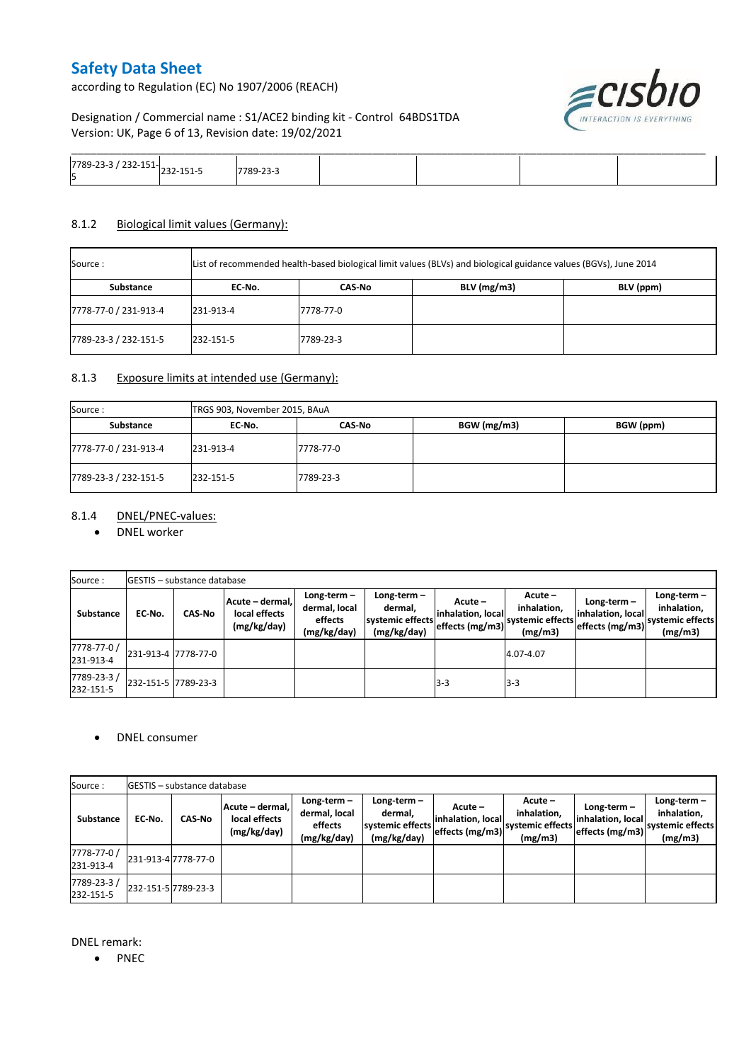according to Regulation (EC) No 1907/2006 (REACH)



### Designation / Commercial name : S1/ACE2 binding kit - Control 64BDS1TDA Version: UK, Page 6 of 13, Revision date: 19/02/2021

| , סיד<br>- פיל <u>ו דרד-זכז / כ-כ</u> ז-בס<br>$\sim$<br>כו |  |  |  |
|------------------------------------------------------------|--|--|--|

#### 8.1.2 Biological limit values (Germany):

| Source :              | List of recommended health-based biological limit values (BLVs) and biological guidance values (BGVs), June 2014 |           |               |           |  |  |  |  |
|-----------------------|------------------------------------------------------------------------------------------------------------------|-----------|---------------|-----------|--|--|--|--|
| Substance             | EC No.                                                                                                           | CAS No    | $BLV$ (mg/m3) | BLV (ppm) |  |  |  |  |
| 7778-77-0 / 231-913-4 | 231-913-4                                                                                                        | 7778-77-0 |               |           |  |  |  |  |
| 7789-23-3 / 232-151-5 | 232-151-5                                                                                                        | 7789-23-3 |               |           |  |  |  |  |

#### 8.1.3 Exposure limits at intended use (Germany):

| Source:               | TRGS 903, November 2015, BAuA |           |             |           |  |  |  |  |
|-----------------------|-------------------------------|-----------|-------------|-----------|--|--|--|--|
| Substance             | EC No.                        | CAS-No    | BGW (mg/m3) | BGW (ppm) |  |  |  |  |
| 7778-77-0 / 231-913-4 | 231-913-4                     | 7778-77-0 |             |           |  |  |  |  |
| 7789-23-3 / 232-151-5 | 232-151-5                     | 7789-23-3 |             |           |  |  |  |  |

### 8.1.4 DNEL/PNEC-values:

• DNEL worker

| Source:                  |                     | <b>IGESTIS</b> - substance database |                                                 |                                                          |                                                           |                                                  |                                                         |                                                    |                                                             |
|--------------------------|---------------------|-------------------------------------|-------------------------------------------------|----------------------------------------------------------|-----------------------------------------------------------|--------------------------------------------------|---------------------------------------------------------|----------------------------------------------------|-------------------------------------------------------------|
| Substance                | EC No.              | <b>CAS-No</b>                       | Acute - dermal,<br>local effects<br>(mg/kg/day) | $Long-term -$<br>dermal, local<br>effects<br>(mg/kg/day) | Long-term -<br>dermal.<br>systemic effects<br>(mg/kg/day) | Acute –<br>linhalation. local<br>effects (mg/m3) | $Acute -$<br>inhalation,<br>systemic effects<br>(mg/m3) | Long-term-<br>inhalation, local<br>effects (mg/m3) | Long-term $-$<br>inhalation,<br>systemic effects<br>(mg/m3) |
| 7778-77-0 /<br>231-913-4 | 231-913-4 7778-77-0 |                                     |                                                 |                                                          |                                                           |                                                  | 4.07-4.07                                               |                                                    |                                                             |
| 7789-23-3/<br>232-151-5  | 232-151-5 7789-23-3 |                                     |                                                 |                                                          |                                                           | $3-3$                                            | $3-3$                                                   |                                                    |                                                             |

#### DNEL consumer

| Source:                  |        | <b>IGESTIS</b> – substance database |                                                 |                                                          |                                                             |                                                 |                                                       |                                                    |                                                             |
|--------------------------|--------|-------------------------------------|-------------------------------------------------|----------------------------------------------------------|-------------------------------------------------------------|-------------------------------------------------|-------------------------------------------------------|----------------------------------------------------|-------------------------------------------------------------|
| <b>Substance</b>         | EC No. | <b>CAS-No</b>                       | Acute – dermal,<br>local effects<br>(mg/kg/day) | $Long-term -$<br>dermal, local<br>effects<br>(mg/kg/day) | Long-term $-$<br>dermal,<br>systemic effects<br>(mg/kg/day) | Acute –<br>inhalation, local<br>effects (mg/m3) | Acute -<br>inhalation,<br>systemic effects<br>(mg/m3) | Long-term-<br>inhalation, local<br>effects (mg/m3) | Long-term $-$<br>inhalation,<br>systemic effects<br>(mg/m3) |
| 7778-77-0 /<br>231-913-4 |        | 231-913-4 7778-77-0                 |                                                 |                                                          |                                                             |                                                 |                                                       |                                                    |                                                             |
| 7789-23-3/<br>232-151-5  |        | 232-151-5 7789-23-3                 |                                                 |                                                          |                                                             |                                                 |                                                       |                                                    |                                                             |

DNEL remark:

• PNEC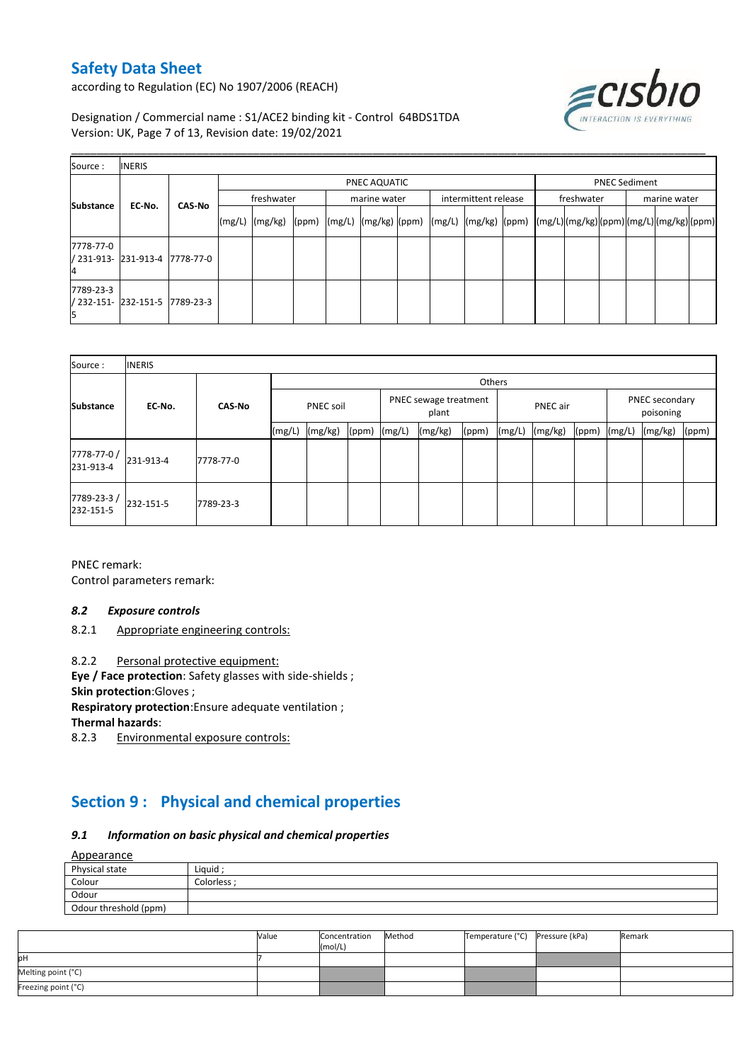according to Regulation (EC) No 1907/2006 (REACH)



Designation / Commercial name : S1/ACE2 binding kit - Control 64BDS1TDA Version: UK, Page 7 of 13, Revision date: 19/02/2021

| Source:          | <b>INERIS</b>                  |                                                                                                                   |              |  |              |  |                      |  |            |                      |              |  |  |  |  |
|------------------|--------------------------------|-------------------------------------------------------------------------------------------------------------------|--------------|--|--------------|--|----------------------|--|------------|----------------------|--------------|--|--|--|--|
|                  |                                |                                                                                                                   | PNEC AQUATIC |  |              |  |                      |  |            | <b>PNEC Sediment</b> |              |  |  |  |  |
| <b>Substance</b> | <b>CAS-No</b><br>EC-No.        |                                                                                                                   | freshwater   |  | marine water |  | intermittent release |  | freshwater |                      | marine water |  |  |  |  |
|                  |                                | (mg/L)  (mg/kg)  (ppm)  (mg/L)  (mg/kg)  (ppm)  (mg/L)  (mg/kg)  (ppm)  (mg/L) (mg/kg) (ppm) (mg/L) (mg/kg) (ppm) |              |  |              |  |                      |  |            |                      |              |  |  |  |  |
| 7778-77-0        | / 231-913- 231-913-4 7778-77-0 |                                                                                                                   |              |  |              |  |                      |  |            |                      |              |  |  |  |  |
| 7789-23-3        | / 232-151- 232-151-5 7789-23-3 |                                                                                                                   |              |  |              |  |                      |  |            |                      |              |  |  |  |  |

| Source:                 | <b>INERIS</b> |               |        |                  |       |                                |         |                 |        |         |                             |        |         |       |
|-------------------------|---------------|---------------|--------|------------------|-------|--------------------------------|---------|-----------------|--------|---------|-----------------------------|--------|---------|-------|
| <b>Substance</b>        |               |               | Others |                  |       |                                |         |                 |        |         |                             |        |         |       |
|                         | EC-No.        | <b>CAS-No</b> |        | <b>PNEC soil</b> |       | PNEC sewage treatment<br>plant |         | <b>PNEC</b> air |        |         | PNEC secondary<br>poisoning |        |         |       |
|                         |               |               | (mg/L) | (mg/kg)          | (ppm) | (mg/L)                         | (mg/kg) | (ppm)           | (mg/L) | (mg/kg) | (ppm)                       | (mg/L) | (mg/kg) | (ppm) |
| 7778-77-0/<br>231-913-4 | 231-913-4     | 7778-77-0     |        |                  |       |                                |         |                 |        |         |                             |        |         |       |
| 7789-23-3/<br>232-151-5 | 232-151-5     | 7789-23-3     |        |                  |       |                                |         |                 |        |         |                             |        |         |       |

PNEC remark: Control parameters remark:

#### *8.2 Exposure controls*

8.2.1 Appropriate engineering controls:

8.2.2 Personal protective equipment:

**Eye / Face protection**: Safety glasses with side-shields ;

**Skin protection**:Gloves ;

**Respiratory protection**:Ensure adequate ventilation ;

**Thermal hazards:**<br>8.2.3 **Environm** 

Environmental exposure controls:

# **Section 9 : Physical and chemical properties**

#### *9.1 Information on basic physical and chemical properties*

Appearance

| Appearance            |             |
|-----------------------|-------------|
| Physical state        | Liquid      |
| Colour                | Colorless : |
| Odour                 |             |
| Odour threshold (ppm) |             |

|                     | Value | Concentration<br>(mol/L) | Method | Temperature (°C) Pressure (kPa) | Remark |
|---------------------|-------|--------------------------|--------|---------------------------------|--------|
| юH                  |       |                          |        |                                 |        |
| Melting point (°C)  |       |                          |        |                                 |        |
| Freezing point (°C) |       |                          |        |                                 |        |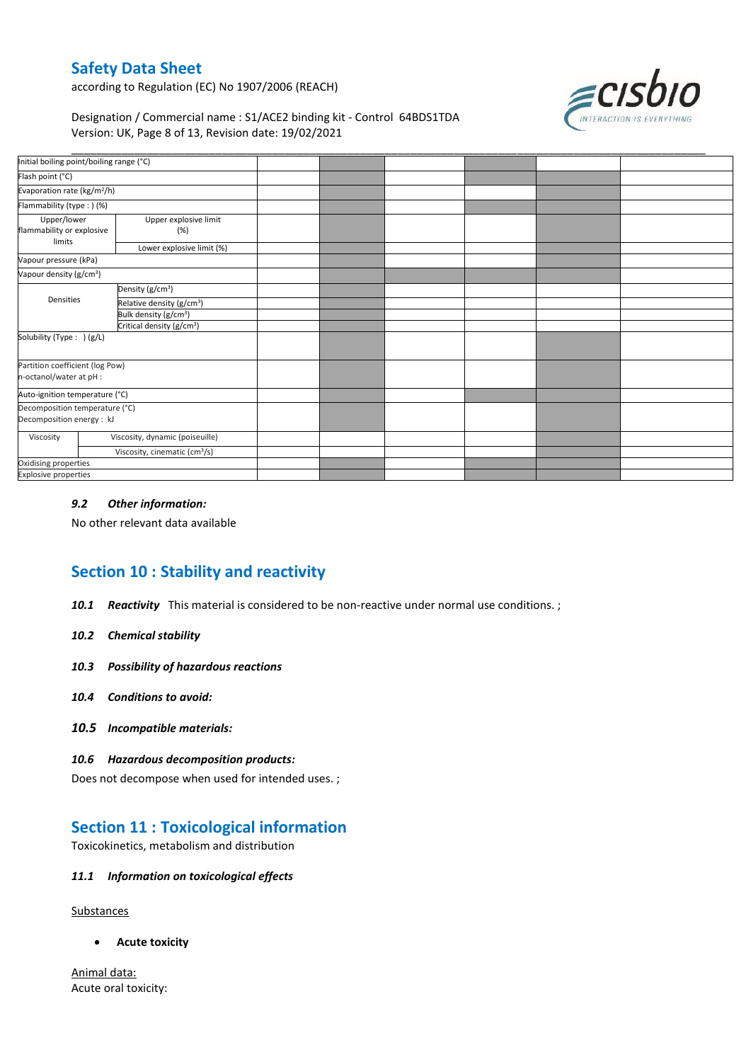according to Regulation (EC) No 1907/2006 (REACH)



### Designation / Commercial name : S1/ACE2 binding kit - Control 64BDS1TDA Version: UK, Page 8 of 13, Revision date: 19/02/2021

| Initial boiling point/boiling range (°C)                    |                                           |  |  |  |
|-------------------------------------------------------------|-------------------------------------------|--|--|--|
| Flash point (°C)                                            |                                           |  |  |  |
| Evaporation rate (kg/m <sup>2</sup> /h)                     |                                           |  |  |  |
| Flammability (type:) (%)                                    |                                           |  |  |  |
| Upper/lower<br>flammability or explosive<br>limits          | Upper explosive limit<br>(%)              |  |  |  |
|                                                             | Lower explosive limit (%)                 |  |  |  |
| Vapour pressure (kPa)                                       |                                           |  |  |  |
| Vapour density (g/cm <sup>3</sup> )                         |                                           |  |  |  |
| Densities                                                   | Density (g/cm <sup>3</sup> )              |  |  |  |
|                                                             | Relative density (g/cm <sup>3</sup> )     |  |  |  |
|                                                             | Bulk density (g/cm <sup>3</sup> )         |  |  |  |
|                                                             | Critical density (g/cm <sup>3</sup> )     |  |  |  |
| Solubility (Type: ) (g/L)                                   |                                           |  |  |  |
| Partition coefficient (log Pow)<br>n-octanol/water at pH :  |                                           |  |  |  |
| Auto-ignition temperature (°C)                              |                                           |  |  |  |
| Decomposition temperature (°C)<br>Decomposition energy : kJ |                                           |  |  |  |
| Viscosity                                                   | Viscosity, dynamic (poiseuille)           |  |  |  |
|                                                             | Viscosity, cinematic (cm <sup>3</sup> /s) |  |  |  |
| Oxidising properties                                        |                                           |  |  |  |
| Explosive properties                                        |                                           |  |  |  |
|                                                             |                                           |  |  |  |

#### *9.2 Other information:*

No other relevant data available

# **Section 10 : Stability and reactivity**

- *10.1 Reactivity* This material is considered to be non-reactive under normal use conditions. ;
- *10.2 Chemical stability*
- *10.3 Possibility of hazardous reactions*
- *10.4 Conditions to avoid:*
- *10.5 Incompatible materials:*

#### *10.6 Hazardous decomposition products:*

Does not decompose when used for intended uses. ;

## **Section 11 : Toxicological information**

Toxicokinetics, metabolism and distribution

#### *11.1 Information on toxicological effects*

**Substances** 

**Acute toxicity**

Animal data: Acute oral toxicity: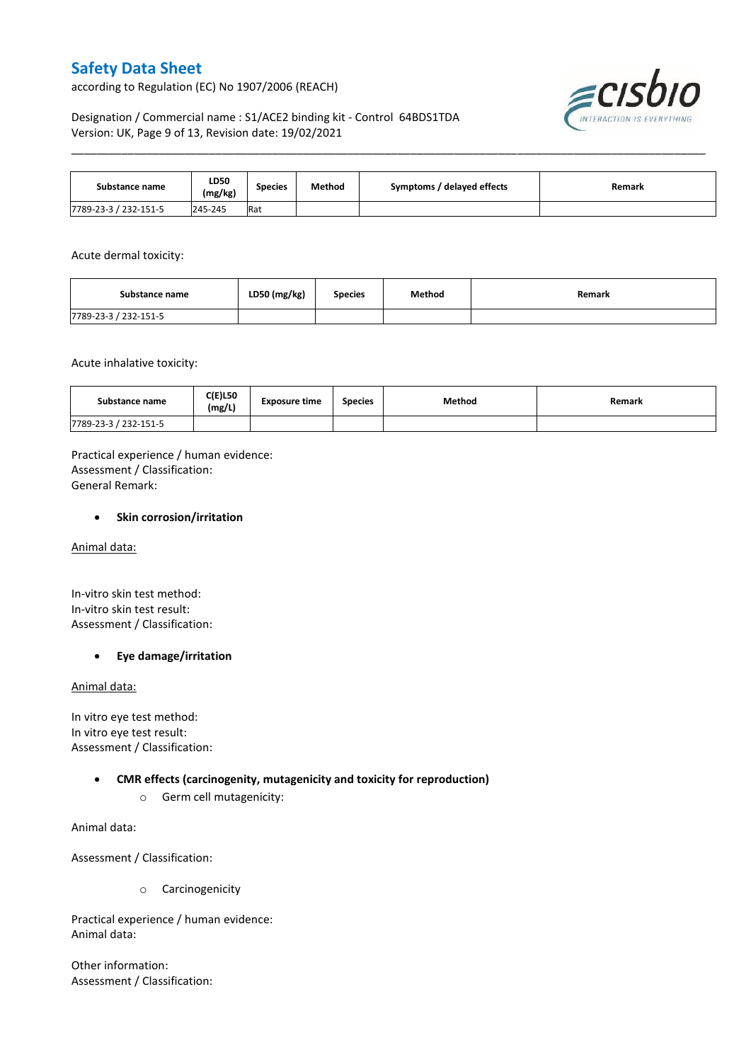according to Regulation (EC) No 1907/2006 (REACH)



### Designation / Commercial name : S1/ACE2 binding kit - Control 64BDS1TDA Version: UK, Page 9 of 13, Revision date: 19/02/2021

| Substance name        | LD50<br>(mg/kg) | <b>Species</b> | Method | Symptoms / delayed effects | Remark |
|-----------------------|-----------------|----------------|--------|----------------------------|--------|
| 7789-23-3 / 232-151-5 | 245-245         | Rat            |        |                            |        |

\_\_\_\_\_\_\_\_\_\_\_\_\_\_\_\_\_\_\_\_\_\_\_\_\_\_\_\_\_\_\_\_\_\_\_\_\_\_\_\_\_\_\_\_\_\_\_\_\_\_\_\_\_\_\_\_\_\_\_\_\_\_\_\_\_\_\_\_\_\_\_\_\_\_\_\_\_\_\_\_\_\_\_\_\_\_\_\_\_\_\_\_\_\_\_\_\_\_\_\_\_

#### Acute dermal toxicity:

| Substance name        | LD50 (mg/kg) | <b>Species</b> | Method | Remark |
|-----------------------|--------------|----------------|--------|--------|
| 7789-23-3 / 232-151-5 |              |                |        |        |

#### Acute inhalative toxicity:

| Substance name        | <b>C(E)L50</b><br>(mg/L) | <b>Exposure time</b> | <b>Species</b> | <b>Method</b> | Remark |
|-----------------------|--------------------------|----------------------|----------------|---------------|--------|
| 7789-23-3 / 232-151-5 |                          |                      |                |               |        |

Practical experience / human evidence: Assessment / Classification: General Remark:

#### **•** Skin corrosion/irritation

Animal data:

In-vitro skin test method: In-vitro skin test result: Assessment / Classification:

#### **Eye damage/irritation**

#### Animal data:

In vitro eye test method: In vitro eye test result: Assessment / Classification:

#### **CMR effects (carcinogenity, mutagenicity and toxicity for reproduction)**

o Germ cell mutagenicity:

Animal data:

Assessment / Classification:

o Carcinogenicity

Practical experience / human evidence: Animal data:

Other information: Assessment / Classification: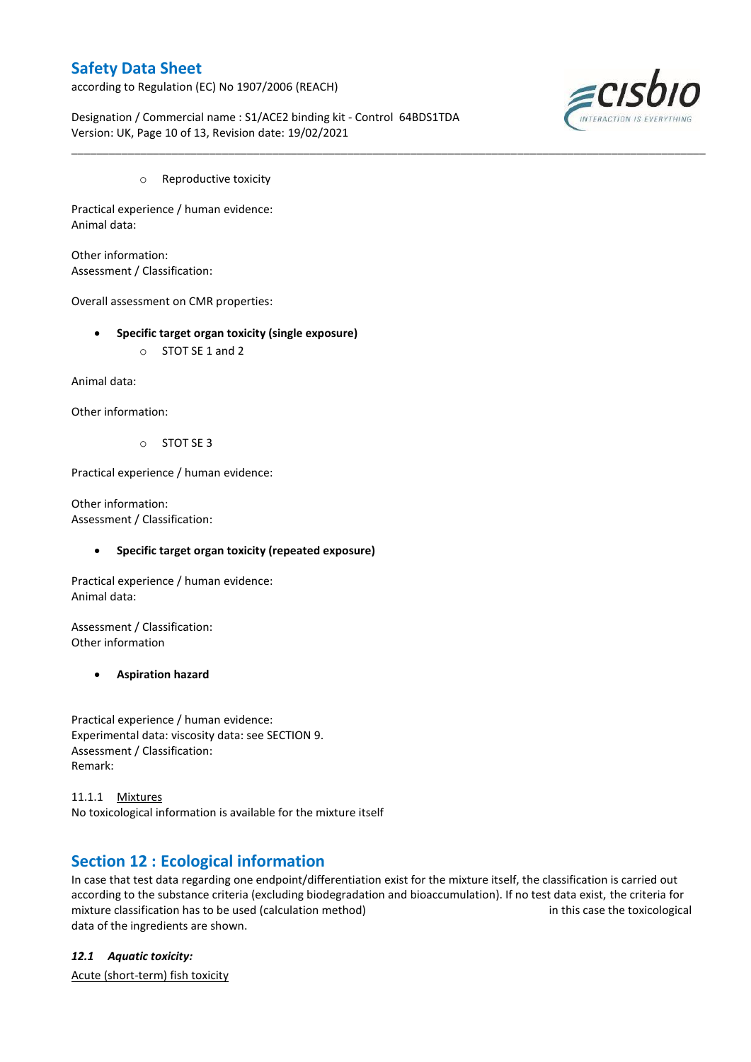according to Regulation (EC) No 1907/2006 (REACH)



Designation / Commercial name : S1/ACE2 binding kit - Control 64BDS1TDA Version: UK, Page 10 of 13, Revision date: 19/02/2021

\_\_\_\_\_\_\_\_\_\_\_\_\_\_\_\_\_\_\_\_\_\_\_\_\_\_\_\_\_\_\_\_\_\_\_\_\_\_\_\_\_\_\_\_\_\_\_\_\_\_\_\_\_\_\_\_\_\_\_\_\_\_\_\_\_\_\_\_\_\_\_\_\_\_\_\_\_\_\_\_\_\_\_\_\_\_\_\_\_\_\_\_\_\_\_\_\_\_\_\_\_

o Reproductive toxicity

Practical experience / human evidence: Animal data:

Other information: Assessment / Classification:

Overall assessment on CMR properties:

- **Specific target organ toxicity (single exposure)**
	- o STOT SE 1 and 2

Animal data:

Other information:

o STOT SE 3

Practical experience / human evidence:

Other information: Assessment / Classification:

#### **Specific target organ toxicity (repeated exposure)**

Practical experience / human evidence: Animal data:

Assessment / Classification: Other information

#### **Aspiration hazard**

Practical experience / human evidence: Experimental data: viscosity data: see SECTION 9. Assessment / Classification: Remark:

11.1.1 Mixtures No toxicological information is available for the mixture itself

### **Section 12 : Ecological information**

In case that test data regarding one endpoint/differentiation exist for the mixture itself, the classification is carried out according to the substance criteria (excluding biodegradation and bioaccumulation). If no test data exist, the criteria for mixture classification has to be used (calculation method) in this case the toxicological data of the ingredients are shown.

*12.1 Aquatic toxicity:* 

Acute (short-term) fish toxicity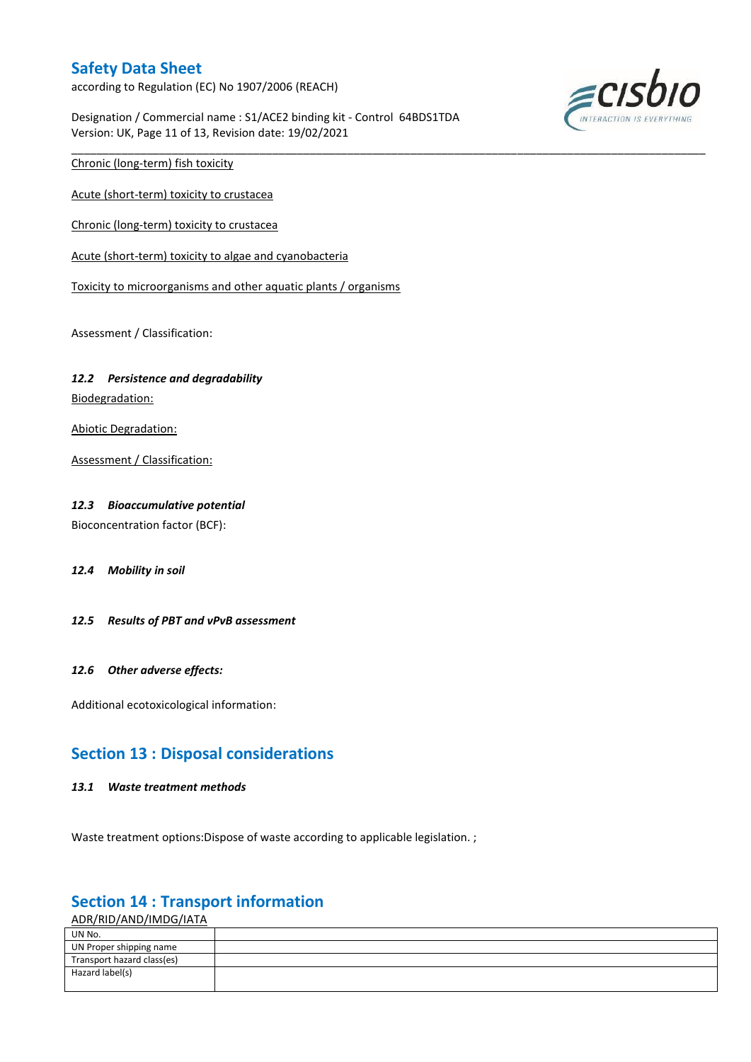according to Regulation (EC) No 1907/2006 (REACH)

Designation / Commercial name : S1/ACE2 binding kit - Control 64BDS1TDA Version: UK, Page 11 of 13, Revision date: 19/02/2021

\_\_\_\_\_\_\_\_\_\_\_\_\_\_\_\_\_\_\_\_\_\_\_\_\_\_\_\_\_\_\_\_\_\_\_\_\_\_\_\_\_\_\_\_\_\_\_\_\_\_\_\_\_\_\_\_\_\_\_\_\_\_\_\_\_\_\_\_\_\_\_\_\_\_\_\_\_\_\_\_\_\_\_\_\_\_\_\_\_\_\_\_\_\_\_\_\_\_\_\_\_



Chronic (long-term) fish toxicity

Acute (short-term) toxicity to crustacea

Chronic (long-term) toxicity to crustacea

Acute (short-term) toxicity to algae and cyanobacteria

Toxicity to microorganisms and other aquatic plants / organisms

Assessment / Classification:

#### *12.2 Persistence and degradability*

Biodegradation:

Abiotic Degradation:

Assessment / Classification:

#### *12.3 Bioaccumulative potential*

Bioconcentration factor (BCF):

#### *12.4 Mobility in soil*

*12.5 Results of PBT and vPvB assessment*

#### *12.6 Other adverse effects:*

Additional ecotoxicological information:

### **Section 13 : Disposal considerations**

#### *13.1 Waste treatment methods*

Waste treatment options: Dispose of waste according to applicable legislation. ;

# **Section 14 : Transport information**

ADR/RID/AND/IMDG/IATA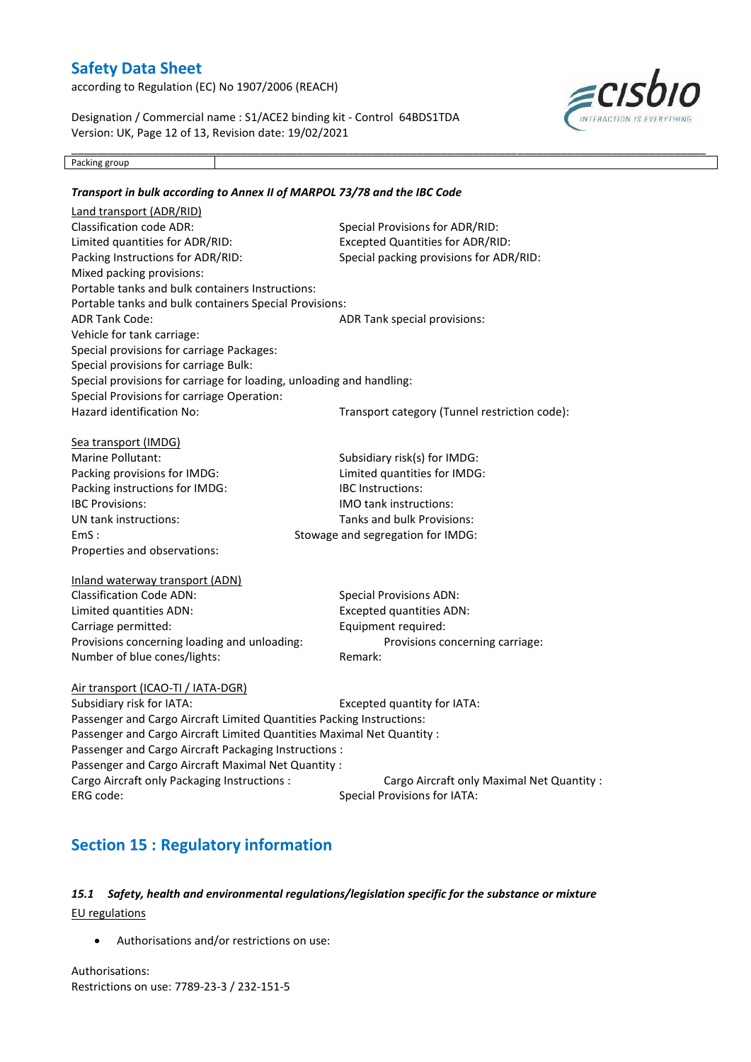according to Regulation (EC) No 1907/2006 (REACH)

Designation / Commercial name : S1/ACE2 binding kit - Control 64BDS1TDA Version: UK, Page 12 of 13, Revision date: 19/02/2021



Packing group

### \_\_\_\_\_\_\_\_\_\_\_\_\_\_\_\_\_\_\_\_\_\_\_\_\_\_\_\_\_\_\_\_\_\_\_\_\_\_\_\_\_\_\_\_\_\_\_\_\_\_\_\_\_\_\_\_\_\_\_\_\_\_\_\_\_\_\_\_\_\_\_\_\_\_\_\_\_\_\_\_\_\_\_\_\_\_\_\_\_\_\_\_\_\_\_\_\_\_\_\_\_ *Transport in bulk according to Annex II of MARPOL 73/78 and the IBC Code* Land transport (ADR/RID) Classification code ADR: Special Provisions for ADR/RID: Limited quantities for ADR/RID: Excepted Quantities for ADR/RID: Packing Instructions for ADR/RID: Special packing provisions for ADR/RID: Mixed packing provisions: Portable tanks and bulk containers Instructions: Portable tanks and bulk containers Special Provisions: ADR Tank Code: ADR Tank special provisions: Vehicle for tank carriage: Special provisions for carriage Packages: Special provisions for carriage Bulk: Special provisions for carriage for loading, unloading and handling: Special Provisions for carriage Operation: Hazard identification No: Transport category (Tunnel restriction code): Sea transport (IMDG) Marine Pollutant: Subsidiary risk(s) for IMDG: Packing provisions for IMDG: Limited quantities for IMDG: Packing instructions for IMDG: IBC Instructions: IBC Provisions: IMO tank instructions: UN tank instructions: Tanks and bulk Provisions: EmS :  $500$  EmS : Properties and observations: Inland waterway transport (ADN) Classification Code ADN: Special Provisions ADN: Limited quantities ADN: Excepted quantities ADN: Carriage permitted: Equipment required: Provisions concerning loading and unloading: Provisions concerning carriage: Number of blue cones/lights: Remark: Air transport (ICAO-TI / IATA-DGR) Subsidiary risk for IATA: Excepted quantity for IATA: Passenger and Cargo Aircraft Limited Quantities Packing Instructions: Passenger and Cargo Aircraft Limited Quantities Maximal Net Quantity : Passenger and Cargo Aircraft Packaging Instructions : Passenger and Cargo Aircraft Maximal Net Quantity : Cargo Aircraft only Packaging Instructions : Cargo Aircraft only Maximal Net Quantity : ERG code: Special Provisions for IATA: **Section 15 : Regulatory information**

### *15.1 Safety, health and environmental regulations/legislation specific for the substance or mixture* EU regulations

Authorisations and/or restrictions on use:

Authorisations: Restrictions on use: 7789-23-3 / 232-151-5